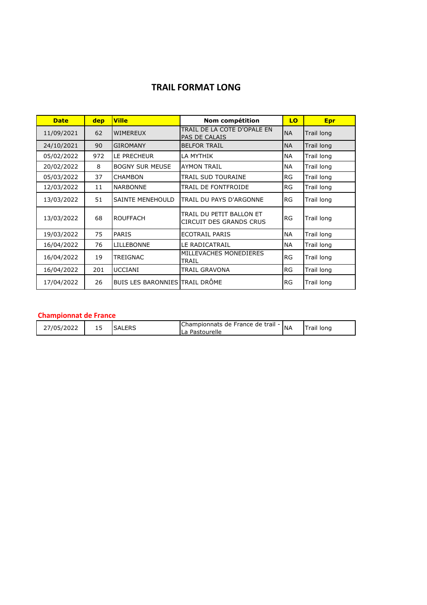## **TRAIL FORMAT LONG**

| <b>Date</b> | dep | <b>Ville</b>                           | Nom compétition                                     | LO        | <b>Epr</b> |
|-------------|-----|----------------------------------------|-----------------------------------------------------|-----------|------------|
| 11/09/2021  | 62  | <b>WIMEREUX</b>                        | TRAIL DE LA COTE D'OPALE EN<br>PAS DE CALAIS        | <b>NA</b> | Trail long |
| 24/10/2021  | 90  | <b>GIROMANY</b>                        | <b>BELFOR TRAIL</b>                                 | <b>NA</b> | Trail long |
| 05/02/2022  | 972 | LE PRECHEUR                            | LA MYTHIK                                           | <b>NA</b> | Trail long |
| 20/02/2022  | 8   | <b>BOGNY SUR MEUSE</b>                 | <b>AYMON TRAIL</b>                                  | NA        | Trail long |
| 05/03/2022  | 37  | <b>CHAMBON</b>                         | TRAIL SUD TOURAINE                                  | RG        | Trail long |
| 12/03/2022  | 11  | TRAIL DE FONTFROIDE<br><b>NARBONNE</b> |                                                     | RG        | Trail long |
| 13/03/2022  | 51  | <b>SAINTE MENEHOULD</b>                | TRAIL DU PAYS D'ARGONNE                             | <b>RG</b> | Trail long |
| 13/03/2022  | 68  | <b>ROUFFACH</b>                        | TRAIL DU PETIT BALLON ET<br>CIRCUIT DES GRANDS CRUS | <b>RG</b> | Trail long |
| 19/03/2022  | 75  | <b>PARIS</b>                           | <b>ECOTRAIL PARIS</b>                               | <b>NA</b> | Trail long |
| 16/04/2022  | 76  | <b>LILLEBONNE</b>                      | LE RADICATRAIL                                      | <b>NA</b> | Trail long |
| 16/04/2022  | 19  | TREIGNAC                               | MILLEVACHES MONEDIERES<br>TRAIL                     | <b>RG</b> | Trail long |
| 16/04/2022  | 201 | <b>UCCIANI</b>                         | TRAIL GRAVONA                                       | RG        | Trail long |
| 17/04/2022  | 26  | BUIS LES BARONNIES TRAIL DRÔME         |                                                     | RG        | Trail long |

## **Championnat de France**

| 7/05/<br>2022 | <b></b> | FRS<br>SA'<br>7551 | 'Championnats de France de trail -<br>astourelle'<br>∟u | <b>INA</b> | Tong<br>rail |
|---------------|---------|--------------------|---------------------------------------------------------|------------|--------------|